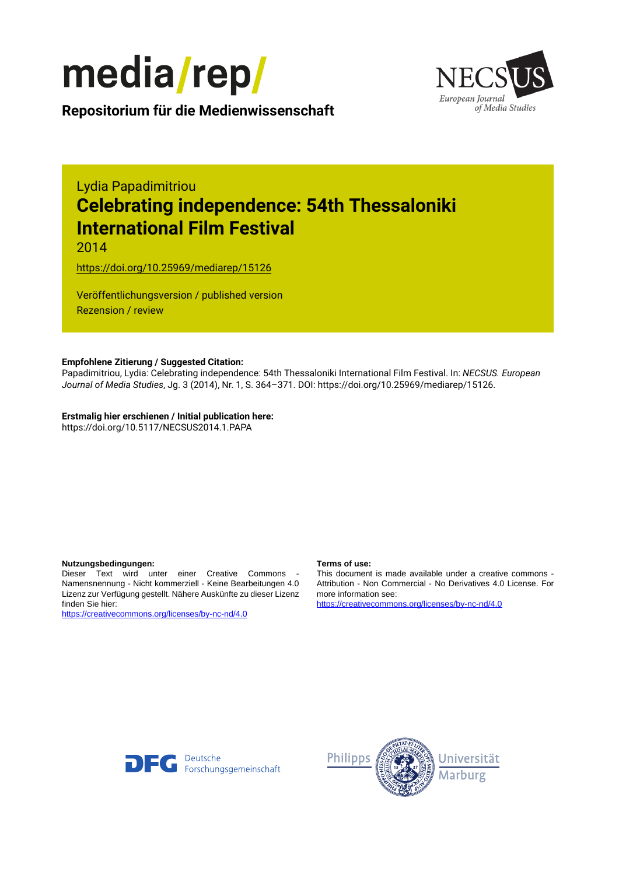



**Repositorium für die [Medienwissenschaft](https://mediarep.org)**

# Lydia Papadimitriou **Celebrating independence: 54th Thessaloniki International Film Festival**

2014

<https://doi.org/10.25969/mediarep/15126>

Veröffentlichungsversion / published version Rezension / review

# **Empfohlene Zitierung / Suggested Citation:**

Papadimitriou, Lydia: Celebrating independence: 54th Thessaloniki International Film Festival. In: *NECSUS. European Journal of Media Studies*, Jg. 3 (2014), Nr. 1, S. 364–371. DOI: https://doi.org/10.25969/mediarep/15126.

**Erstmalig hier erschienen / Initial publication here:** https://doi.org/10.5117/NECSUS2014.1.PAPA

#### **Nutzungsbedingungen: Terms of use:**

Dieser Text wird unter einer Creative Commons - Namensnennung - Nicht kommerziell - Keine Bearbeitungen 4.0 Lizenz zur Verfügung gestellt. Nähere Auskünfte zu dieser Lizenz finden Sie hier:

<https://creativecommons.org/licenses/by-nc-nd/4.0>

This document is made available under a creative commons - Attribution - Non Commercial - No Derivatives 4.0 License. For more information see:

<https://creativecommons.org/licenses/by-nc-nd/4.0>



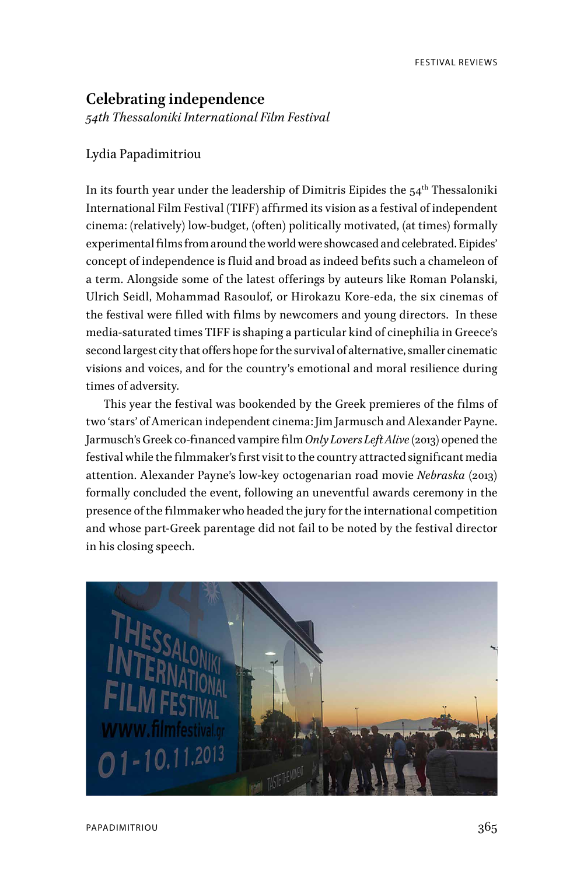# **Celebrating independence** *54th Thessaloniki International Film Festival*

### Lydia Papadimitriou

In its fourth year under the leadership of Dimitris Eipides the  $54<sup>th</sup>$  Thessaloniki International Film Festival (TIFF) affirmed its vision as a festival of independent cinema: (relatively) low-budget, (often) politically motivated, (at times) formally experimental films from around the world were showcased and celebrated. Eipides' concept of independence is fluid and broad as indeed befits such a chameleon of a term. Alongside some of the latest offerings by auteurs like Roman Polanski, Ulrich Seidl, Mohammad Rasoulof, or Hirokazu Kore-eda, the six cinemas of the festival were filled with films by newcomers and young directors. In these media-saturated times TIFF is shaping a particular kind of cinephilia in Greece's second largest city that offers hope for the survival of alternative, smaller cinematic visions and voices, and for the country's emotional and moral resilience during times of adversity.

This year the festival was bookended by the Greek premieres of the films of two 'stars' of American independent cinema: Jim Jarmusch and Alexander Payne. Jarmusch's Greek co-financed vampire film *Only Lovers Left Alive* (2013) opened the festival while the filmmaker's first visit to the country attracted significant media attention. Alexander Payne's low-key octogenarian road movie *Nebraska* (2013) formally concluded the event, following an uneventful awards ceremony in the presence of the filmmaker who headed the jury for the international competition and whose part-Greek parentage did not fail to be noted by the festival director in his closing speech.

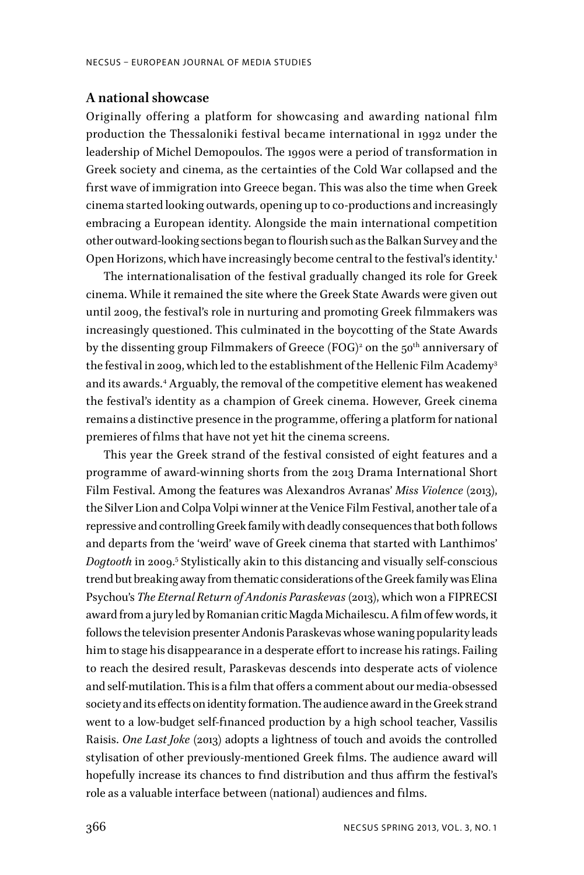### **A national showcase**

Originally offering a platform for showcasing and awarding national film production the Thessaloniki festival became international in 1992 under the leadership of Michel Demopoulos. The 1990s were a period of transformation in Greek society and cinema, as the certainties of the Cold War collapsed and the first wave of immigration into Greece began. This was also the time when Greek cinema started looking outwards, opening up to co-productions and increasingly embracing a European identity. Alongside the main international competition other outward-looking sections began to flourish such as the Balkan Survey and the Open Horizons, which have increasingly become central to the festival's identity.<sup>1</sup>

The internationalisation of the festival gradually changed its role for Greek cinema. While it remained the site where the Greek State Awards were given out until 2009, the festival's role in nurturing and promoting Greek filmmakers was increasingly questioned. This culminated in the boycotting of the State Awards by the dissenting group Filmmakers of Greece (FOG) $^{\rm 2}$  on the 50 $^{\rm th}$  anniversary of the festival in 2009, which led to the establishment of the Hellenic Film Academy<sup>3</sup> and its awards.4 Arguably, the removal of the competitive element has weakened the festival's identity as a champion of Greek cinema. However, Greek cinema remains a distinctive presence in the programme, offering a platform for national premieres of films that have not yet hit the cinema screens.

This year the Greek strand of the festival consisted of eight features and a programme of award-winning shorts from the 2013 Drama International Short Film Festival. Among the features was Alexandros Avranas' *Miss Violence* (2013), the Silver Lion and Colpa Volpi winner at the Venice Film Festival, another tale of a repressive and controlling Greek family with deadly consequences that both follows and departs from the 'weird' wave of Greek cinema that started with Lanthimos' *Dogtooth* in 2009.5 Stylistically akin to this distancing and visually self-conscious trend but breaking away from thematic considerations of the Greek family was Elina Psychou's *The Eternal Return of Andonis Paraskevas* (2013), which won a FIPRECSI award from a jury led by Romanian critic Magda Michailescu. A film of few words, it follows the television presenter Andonis Paraskevas whose waning popularity leads him to stage his disappearance in a desperate effort to increase his ratings. Failing to reach the desired result, Paraskevas descends into desperate acts of violence and self-mutilation. This is a film that offers a comment about our media-obsessed society and its effects on identity formation. The audience award in the Greek strand went to a low-budget self-financed production by a high school teacher, Vassilis Raisis. *One Last Joke* (2013) adopts a lightness of touch and avoids the controlled stylisation of other previously-mentioned Greek films. The audience award will hopefully increase its chances to find distribution and thus affirm the festival's role as a valuable interface between (national) audiences and films.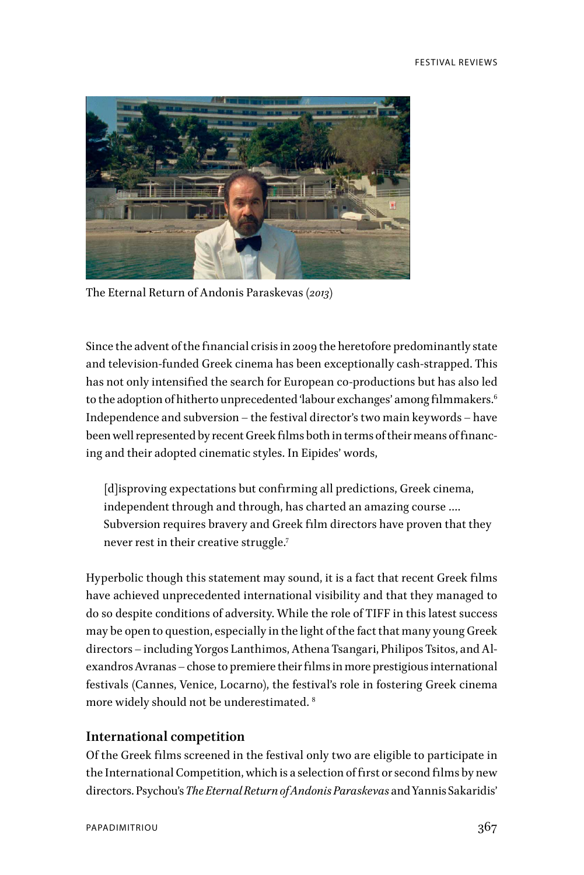

The Eternal Return of Andonis Paraskevas *(2013)*

Since the advent of the financial crisis in 2009 the heretofore predominantly state and television-funded Greek cinema has been exceptionally cash-strapped. This has not only intensified the search for European co-productions but has also led to the adoption of hitherto unprecedented 'labour exchanges' among filmmakers.<sup>6</sup> Independence and subversion – the festival director's two main keywords – have been well represented by recent Greek films both in terms of their means of financing and their adopted cinematic styles. In Eipides' words,

[d]isproving expectations but confirming all predictions, Greek cinema, independent through and through, has charted an amazing course …. Subversion requires bravery and Greek film directors have proven that they never rest in their creative struggle.7

Hyperbolic though this statement may sound, it is a fact that recent Greek films have achieved unprecedented international visibility and that they managed to do so despite conditions of adversity. While the role of TIFF in this latest success may be open to question, especially in the light of the fact that many young Greek directors – including Yorgos Lanthimos, Athena Tsangari, Philipos Tsitos, and Alexandros Avranas – chose to premiere their films in more prestigious international festivals (Cannes, Venice, Locarno), the festival's role in fostering Greek cinema more widely should not be underestimated. 8

### **International competition**

Of the Greek films screened in the festival only two are eligible to participate in the International Competition, which is a selection of first or second films by new directors. Psychou's *The Eternal Return of Andonis Paraskevas* and Yannis Sakaridis'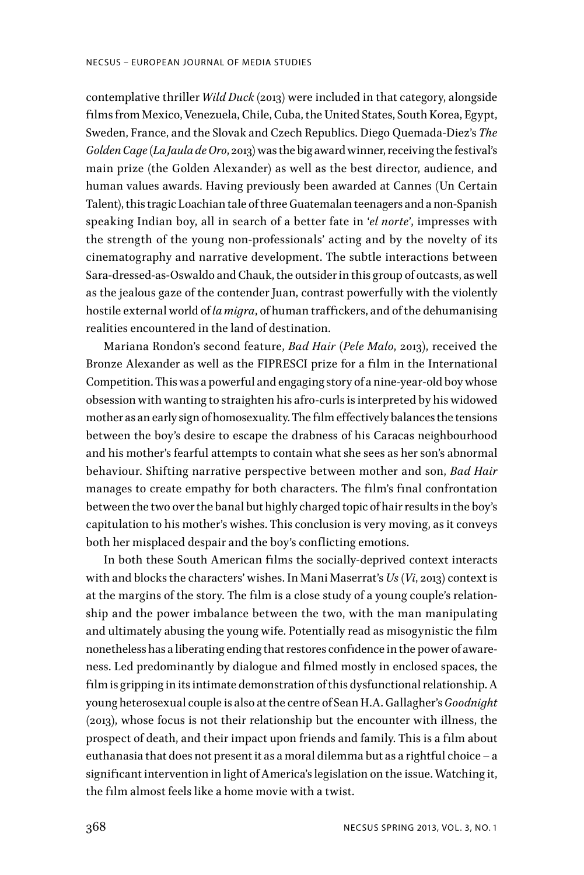contemplative thriller *Wild Duck* (2013) were included in that category, alongside films from Mexico, Venezuela, Chile, Cuba, the United States, South Korea, Egypt, Sweden, France, and the Slovak and Czech Republics. Diego Quemada-Diez's *The Golden Cage* (*La Jaula de Oro*, 2013) was the big award winner, receiving the festival's main prize (the Golden Alexander) as well as the best director, audience, and human values awards. Having previously been awarded at Cannes (Un Certain Talent), this tragic Loachian tale of three Guatemalan teenagers and a non-Spanish speaking Indian boy, all in search of a better fate in '*el norte*', impresses with the strength of the young non-professionals' acting and by the novelty of its cinematography and narrative development. The subtle interactions between Sara-dressed-as-Oswaldo and Chauk, the outsider in this group of outcasts, as well as the jealous gaze of the contender Juan, contrast powerfully with the violently hostile external world of *la migra*, of human traffickers, and of the dehumanising realities encountered in the land of destination.

Mariana Rondon's second feature, *Bad Hair* (*Pele Malo*, 2013), received the Bronze Alexander as well as the FIPRESCI prize for a film in the International Competition. This was a powerful and engaging story of a nine-year-old boy whose obsession with wanting to straighten his afro-curls is interpreted by his widowed mother as an early sign of homosexuality. The film effectively balances the tensions between the boy's desire to escape the drabness of his Caracas neighbourhood and his mother's fearful attempts to contain what she sees as her son's abnormal behaviour. Shifting narrative perspective between mother and son, *Bad Hair* manages to create empathy for both characters. The film's final confrontation between the two over the banal but highly charged topic of hair results in the boy's capitulation to his mother's wishes. This conclusion is very moving, as it conveys both her misplaced despair and the boy's conflicting emotions.

In both these South American films the socially-deprived context interacts with and blocks the characters' wishes. In Mani Maserrat's *Us* (*Vi*, 2013) context is at the margins of the story. The film is a close study of a young couple's relationship and the power imbalance between the two, with the man manipulating and ultimately abusing the young wife. Potentially read as misogynistic the film nonetheless has a liberating ending that restores confidence in the power of awareness. Led predominantly by dialogue and filmed mostly in enclosed spaces, the film is gripping in its intimate demonstration of this dysfunctional relationship. A young heterosexual couple is also at the centre of Sean H.A. Gallagher's *Goodnight* (2013), whose focus is not their relationship but the encounter with illness, the prospect of death, and their impact upon friends and family. This is a film about euthanasia that does not present it as a moral dilemma but as a rightful choice – a significant intervention in light of America's legislation on the issue. Watching it, the film almost feels like a home movie with a twist.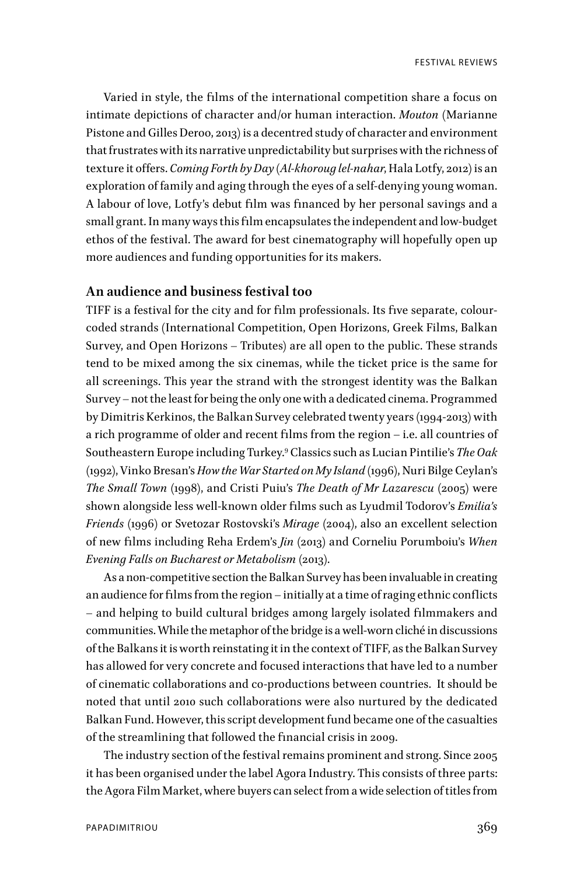Varied in style, the films of the international competition share a focus on intimate depictions of character and/or human interaction. *Mouton* (Marianne Pistone and Gilles Deroo, 2013) is a decentred study of character and environment that frustrates with its narrative unpredictability but surprises with the richness of texture it offers. *Coming Forth by Day* (*Al-khoroug lel-nahar*, Hala Lotfy, 2012) is an exploration of family and aging through the eyes of a self-denying young woman. A labour of love, Lotfy's debut film was financed by her personal savings and a small grant. In many ways this film encapsulates the independent and low-budget ethos of the festival. The award for best cinematography will hopefully open up more audiences and funding opportunities for its makers.

# **An audience and business festival too**

TIFF is a festival for the city and for film professionals. Its five separate, colourcoded strands (International Competition, Open Horizons, Greek Films, Balkan Survey, and Open Horizons – Tributes) are all open to the public. These strands tend to be mixed among the six cinemas, while the ticket price is the same for all screenings. This year the strand with the strongest identity was the Balkan Survey – not the least for being the only one with a dedicated cinema. Programmed by Dimitris Kerkinos, the Balkan Survey celebrated twenty years (1994-2013) with a rich programme of older and recent films from the region – i.e. all countries of Southeastern Europe including Turkey.9 Classics such as Lucian Pintilie's *The Oak* (1992), Vinko Bresan's *How the War Started on My Island* (1996), Nuri Bilge Ceylan's *The Small Town* (1998), and Cristi Puiu's *The Death of Mr Lazarescu* (2005) were shown alongside less well-known older films such as Lyudmil Todorov's *Emilia's Friends* (1996) or Svetozar Rostovski's *Mirage* (2004), also an excellent selection of new films including Reha Erdem's *Jin* (2013) and Corneliu Porumboiu's *When Evening Falls on Bucharest or Metabolism* (2013).

As a non-competitive section the Balkan Survey has been invaluable in creating an audience for films from the region – initially at a time of raging ethnic conflicts – and helping to build cultural bridges among largely isolated filmmakers and communities. While the metaphor of the bridge is a well-worn cliché in discussions of the Balkans it is worth reinstating it in the context of TIFF, as the Balkan Survey has allowed for very concrete and focused interactions that have led to a number of cinematic collaborations and co-productions between countries. It should be noted that until 2010 such collaborations were also nurtured by the dedicated Balkan Fund. However, this script development fund became one of the casualties of the streamlining that followed the financial crisis in 2009.

The industry section of the festival remains prominent and strong. Since 2005 it has been organised under the label Agora Industry. This consists of three parts: the Agora Film Market, where buyers can select from a wide selection of titles from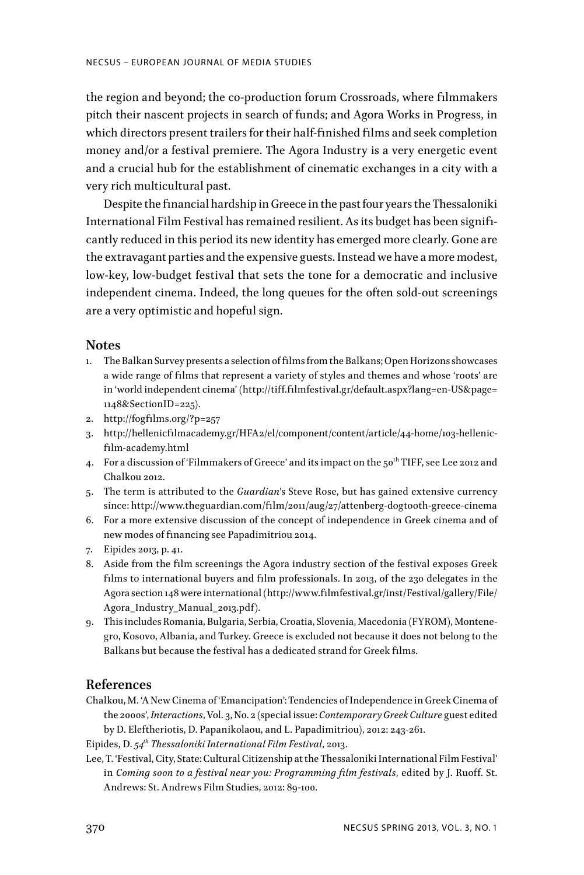the region and beyond; the co-production forum Crossroads, where filmmakers pitch their nascent projects in search of funds; and Agora Works in Progress, in which directors present trailers for their half-finished films and seek completion money and/or a festival premiere. The Agora Industry is a very energetic event and a crucial hub for the establishment of cinematic exchanges in a city with a very rich multicultural past.

Despite the financial hardship in Greece in the past four years the Thessaloniki International Film Festival has remained resilient. As its budget has been significantly reduced in this period its new identity has emerged more clearly. Gone are the extravagant parties and the expensive guests. Instead we have a more modest, low-key, low-budget festival that sets the tone for a democratic and inclusive independent cinema. Indeed, the long queues for the often sold-out screenings are a very optimistic and hopeful sign.

#### **Notes**

- 1. The Balkan Survey presents a selection of films from the Balkans; Open Horizons showcases a wide range of films that represent a variety of styles and themes and whose 'roots' are in 'world independent cinema' (http://tiff.filmfestival.gr/default.aspx?lang=en-US&page= 1148&SectionID=225).
- 2. http://fogfilms.org/?p=257
- 3. http://hellenicfilmacademy.gr/HFA2/el/component/content/article/44-home/103-hellenicfilm-academy.html
- 4. For a discussion of 'Filmmakers of Greece' and its impact on the  $50<sup>th</sup>$  TIFF, see Lee 2012 and Chalkou 2012.
- 5. The term is attributed to the *Guardian*'s Steve Rose, but has gained extensive currency since: http://www.theguardian.com/film/2011/aug/27/attenberg-dogtooth-greece-cinema
- 6. For a more extensive discussion of the concept of independence in Greek cinema and of new modes of financing see Papadimitriou 2014.
- 7. Eipides 2013, p. 41.
- 8. Aside from the film screenings the Agora industry section of the festival exposes Greek films to international buyers and film professionals. In 2013, of the 230 delegates in the Agora section 148 were international (http://www.filmfestival.gr/inst/Festival/gallery/File/ Agora\_Industry\_Manual\_2013.pdf).
- 9. This includes Romania, Bulgaria, Serbia, Croatia, Slovenia, Macedonia (FYROM), Montenegro, Kosovo, Albania, and Turkey. Greece is excluded not because it does not belong to the Balkans but because the festival has a dedicated strand for Greek films.

# **References**

Chalkou, M. 'A New Cinema of 'Emancipation': Tendencies of Independence in Greek Cinema of the 2000s', *Interactions*, Vol. 3, No. 2 (special issue: *Contemporary Greek Culture* guest edited by D. Eleftheriotis, D. Papanikolaou, and L. Papadimitriou), 2012: 243-261.

Eipides, D. *54th Thessaloniki International Film Festival*, 2013.

Lee, T. 'Festival, City, State: Cultural Citizenship at the Thessaloniki International Film Festival' in *Coming soon to a festival near you: Programming film festivals*, edited by J. Ruoff. St. Andrews: St. Andrews Film Studies, 2012: 89-100.